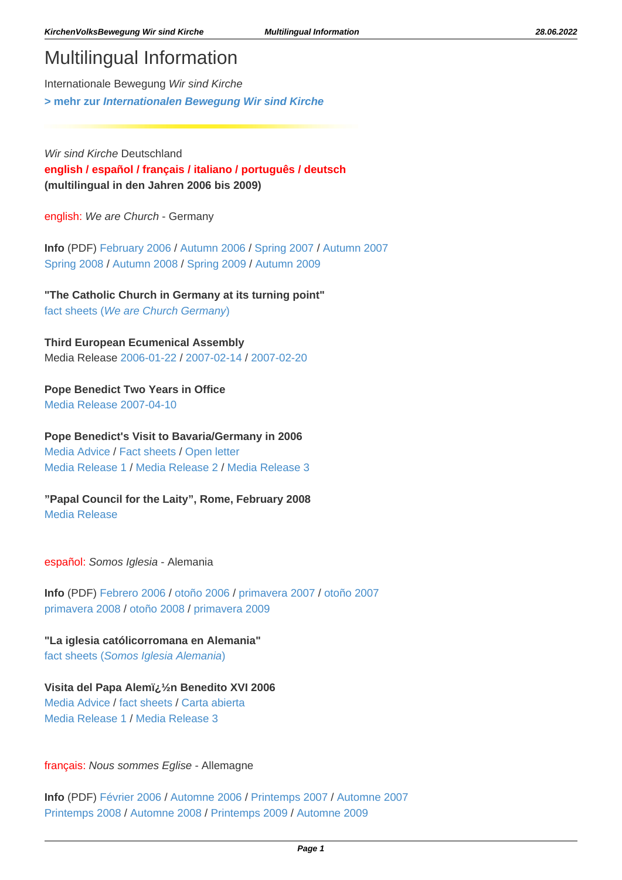## Multilingual Information

Internationale Bewegung Wir sind Kirche **[> mehr zur](http://www.wir-sind-kirche.de/?id=261) [Internationalen Bewegung Wir sind Kirche](http://www.wir-sind-kirche.de/?id=261)**

Wir sind Kirche Deutschland **[english](https://wir-sind-kirche.de/?id=145#1) / [español /](https://wir-sind-kirche.de/?id=145#2) [français /](https://wir-sind-kirche.de/?id=145#3) [italiano](https://wir-sind-kirche.de/?id=145#4) / [português](https://wir-sind-kirche.de/?id=145#5) / [deutsch](https://wir-sind-kirche.de/?id=145#6) (multilingual in den Jahren 2006 bis 2009)**

english: We are Church - Germany

**Info** (PDF) [February 2006](https://wir-sind-kirche.de/files/25_Info%20EN%202006-02%20en.pdf) / [Autumn 2006](https://wir-sind-kirche.de/files/253_Info%20EN%202006-10%20en.pdf) / [Spring 2007](https://wir-sind-kirche.de/files/329_Info%20EN%202007-03%20en.pdf) / [Autumn 2007](https://wir-sind-kirche.de/files/587_Info%20EN%202007-10%20en.pdf) [Spring 2008](https://wir-sind-kirche.de/files/688_Info%20EN%202008-03%20en.pdf) / [Autumn 2008](https://wir-sind-kirche.de/files/836_Info%20EN%202008-10%20en.pdf) / [Spring 2009](https://wir-sind-kirche.de/files/886_Info%20EN%202009-03%20en.pdf) / [Autumn 2009](https://wir-sind-kirche.de/files/1020_Info%20EN%202009-10%20en.pdf)

**"The Catholic Church in Germany at its turning point"** [fact sheets \(](https://wir-sind-kirche.de/?id=332)[We are Church Germany](https://wir-sind-kirche.de/?id=332)[\)](https://wir-sind-kirche.de/?id=332)

**Third European Ecumenical Assembly** Media Release [2006-01-22](https://wir-sind-kirche.de/?id=431) / [2007-02-14](https://wir-sind-kirche.de/?id=427) / [2007-02-20](https://wir-sind-kirche.de/?id=428)

**Pope Benedict Two Years in Office** [Media Release 2007-04-10](https://wir-sind-kirche.de/?id=444)

**Pope Benedict's Visit to Bavaria/Germany in 2006** [Media Advice](https://wir-sind-kirche.de/?id=319) / [Fact sheets](https://wir-sind-kirche.de/?id=332) / [Open letter](https://wir-sind-kirche.de/?id=338) [Media Release 1](https://wir-sind-kirche.de/?id=330) / [Media Release 2 /](https://wir-sind-kirche.de/?id=345) [Media Release 3](https://wir-sind-kirche.de/?id=351)

**"Papal Council for the Laity", Rome, February 2008** [Media Release](https://wir-sind-kirche.de/?id=510)

español: Somos Iglesia - Alemania

**Info** (PDF) [Febrero 2006 /](https://wir-sind-kirche.de/files/26_Info%20EN%202006-02%20es.pdf) [otoño 2006](https://wir-sind-kirche.de/files/254_Info%20EN%202006-10%20es.pdf) / [primavera 2007](https://wir-sind-kirche.de/files/files/326_Info%20EN%202007-03%20es.pdf) / [otoño 2007](https://wir-sind-kirche.de/files/588_Info%20EN%202007-10%20es.pdf) [primavera 2008](https://wir-sind-kirche.de/files/689_Info%20EN%202008-03%20es.pdf) / [otoño 2008](https://wir-sind-kirche.de/files/837_Info%20EN%202008-10%20es.pdf) / [primavera 2009](https://wir-sind-kirche.de/files/887_Info%20EN%202009-03%20es.pdf)

**"La iglesia católicorromana en Alemania"** [fact sheets \(](https://wir-sind-kirche.de/?id=327)[Somos Iglesia Alemania](https://wir-sind-kirche.de/?id=327)[\)](https://wir-sind-kirche.de/?id=327)

**Visita del Papa Alem�n Benedito XVI 2006** [Media Advice](https://wir-sind-kirche.de/?id=328) / [fact sheets](https://wir-sind-kirche.de/?id=327) / [Carta abierta](https://wir-sind-kirche.de/?id=339) [Media Release 1](https://wir-sind-kirche.de/?id=329) / [Media Release 3](https://wir-sind-kirche.de/?id=356)

français: Nous sommes Eglise - Allemagne

**Info** (PDF) [Février 2006](https://wir-sind-kirche.de/files/27_Info%20EN%202006-02%20fr.pdf) / [Automne 2006](https://wir-sind-kirche.de/files/255_Info%20EN%202006-10%20fr.pdf) / [Printemps 2007](https://wir-sind-kirche.de/files/327_Info%20EN%202007-03%20fr.pdf) / [Automne 2007](https://wir-sind-kirche.de/files/589_Info%20EN%202007-10%20fr.pdf) [Printemps 2008](https://wir-sind-kirche.de/files/690_Info%20EN%202008-03%20fr.pdf) / [Automne 2008](https://wir-sind-kirche.de/files/838_Info%20EN%202008-10%20fr.pdf) / [Printemps 2009](https://wir-sind-kirche.de/files/888_Info%20EN%202009-03%20fr.pdf) / [Automne 2009](https://wir-sind-kirche.de/files/1021_Info%20EN%202009-10%20fr.pdf)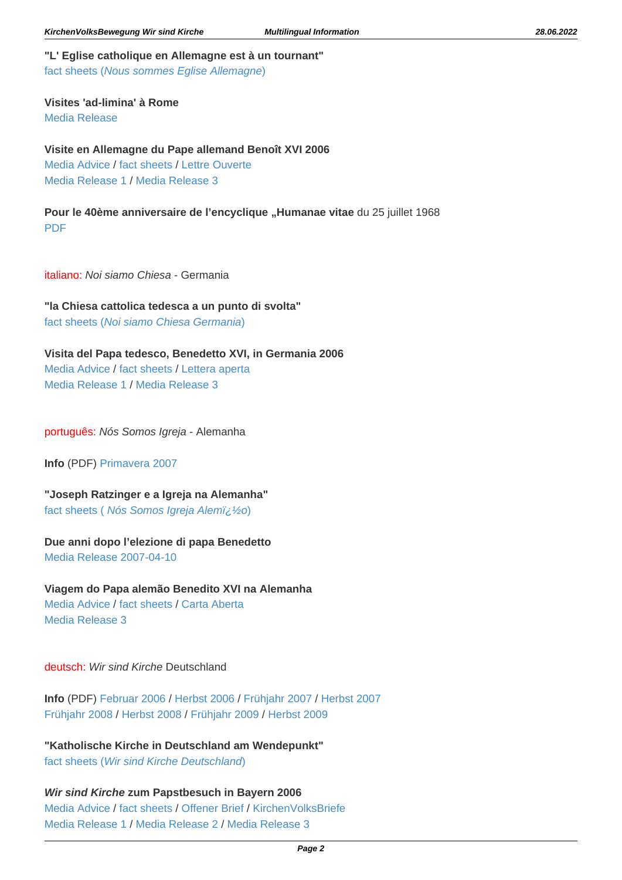**"L' Eglise catholique en Allemagne est à un tournant"** [fact sheets \(](https://wir-sind-kirche.de/?id=333)[Nous sommes Eglise Allemagne](https://wir-sind-kirche.de/?id=333)[\)](https://wir-sind-kirche.de/?id=333)

**Visites 'ad-limina' à Rome** [Media Release](https://wir-sind-kirche.de/?id=362)

**Visite en Allemagne du Pape allemand Benoît XVI 2006** [Media Advice](https://wir-sind-kirche.de/?id=322) / [fact sheets](https://wir-sind-kirche.de/?id=333) / [Lettre Ouverte](https://wir-sind-kirche.de/?id=340) [Media Release 1](https://wir-sind-kirche.de/?id=331) / [Media Release 3](https://wir-sind-kirche.de/?id=353)

Pour le 40ème anniversaire de l'encyclique "Humanae vitae du 25 juillet 1968 [PDF](https://wir-sind-kirche.de/files/839_PRE_080716_HumanaeVitae_Statement_fr.pdf)

italiano: Noi siamo Chiesa - Germania

**"la Chiesa cattolica tedesca a un punto di svolta"** [fact sheets \(](https://wir-sind-kirche.de/?id=324)[Noi siamo Chiesa Germania](https://wir-sind-kirche.de/?id=324)[\)](https://wir-sind-kirche.de/?id=324)

**Visita del Papa tedesco, Benedetto XVI, in Germania 2006** [Media Advice](https://wir-sind-kirche.de/?id=321) / [fact sheets](https://wir-sind-kirche.de/?id=324) / [Lettera aperta](https://wir-sind-kirche.de/?id=341) [Media Release 1](https://wir-sind-kirche.de/?id=344) / [Media Release 3](https://wir-sind-kirche.de/?id=354)

português: Nós Somos Igreja - Alemanha

**Info** (PDF) [Primavera 2007](https://wir-sind-kirche.de/files/328_Info%20EN%202007-03%20pt.pdf)

**"Joseph Ratzinger e a Igreja na Alemanha"** [fact sheets \(](https://wir-sind-kirche.de/?id=343) Nós Somos Igreja Alemiz ½o[\)](https://wir-sind-kirche.de/?id=343)

## **Due anni dopo l'elezione di papa Benedetto**

[Media Release 2007-04-10](https://wir-sind-kirche.de/?id=445)

**Viagem do Papa alemão Benedito XVI na Alemanha** [Media Advice](https://wir-sind-kirche.de/?id=320) / [fact sheets](https://wir-sind-kirche.de/?id=343) / [Carta Aberta](https://wir-sind-kirche.de/?id=342) [Media Release 3](https://wir-sind-kirche.de/?id=355)

deutsch: Wir sind Kirche Deutschland

**Info** (PDF) [Februar 2006 /](https://wir-sind-kirche.de/ files/24_Info%20EN%202006-02%20de.pdf) [Herbst 2006](https://wir-sind-kirche.de/files/252_Info%20EN%202006-10%20de.pdf) / [Frühjahr 2007 /](https://wir-sind-kirche.de/files/325_Info%20EN%202007-03%20de.pdf) [Herbst 2007](https://wir-sind-kirche.de/files/586_Info%20EN%202007-10%20de.pdf) [Frühjahr 2008](https://wir-sind-kirche.de/files/687_Info%20EN%202008-03%20de.pdf) / [Herbst 2008](https://wir-sind-kirche.de/files/835_Info%20EN%202008-10%20de.pdf) / [Frühjahr 2009](https://wir-sind-kirche.de/files/885_Info%20EN%202009-03%20de.pdf) / [Herbst 2009](https://wir-sind-kirche.de/files/1019_Info%20EN%202009-10%20de.pdf)

**"Katholische Kirche in Deutschland am Wendepunkt"** [fact sheets \(](https://wir-sind-kirche.de/?id=318)[Wir sind Kirche Deutschland](https://wir-sind-kirche.de/?id=318)[\)](https://wir-sind-kirche.de/?id=318)

**Wir sind Kirche zum Papstbesuch in Bayern 2006** [Media Advice](https://wir-sind-kirche.de/?id=130) / [fact sheets](https://wir-sind-kirche.de/?id=318) / [Offener Brief](https://wir-sind-kirche.de/?id=128&id_entry=348) / [KirchenVolksBriefe](https://wir-sind-kirche.de/?id=308) [Media Release 1](https://wir-sind-kirche.de/?id=128&id_entry=345) / [Media Release 2 /](https://wir-sind-kirche.de/?id=128&id_entry=388) [Media Release 3](https://wir-sind-kirche.de/?id=128&id_entry=421)